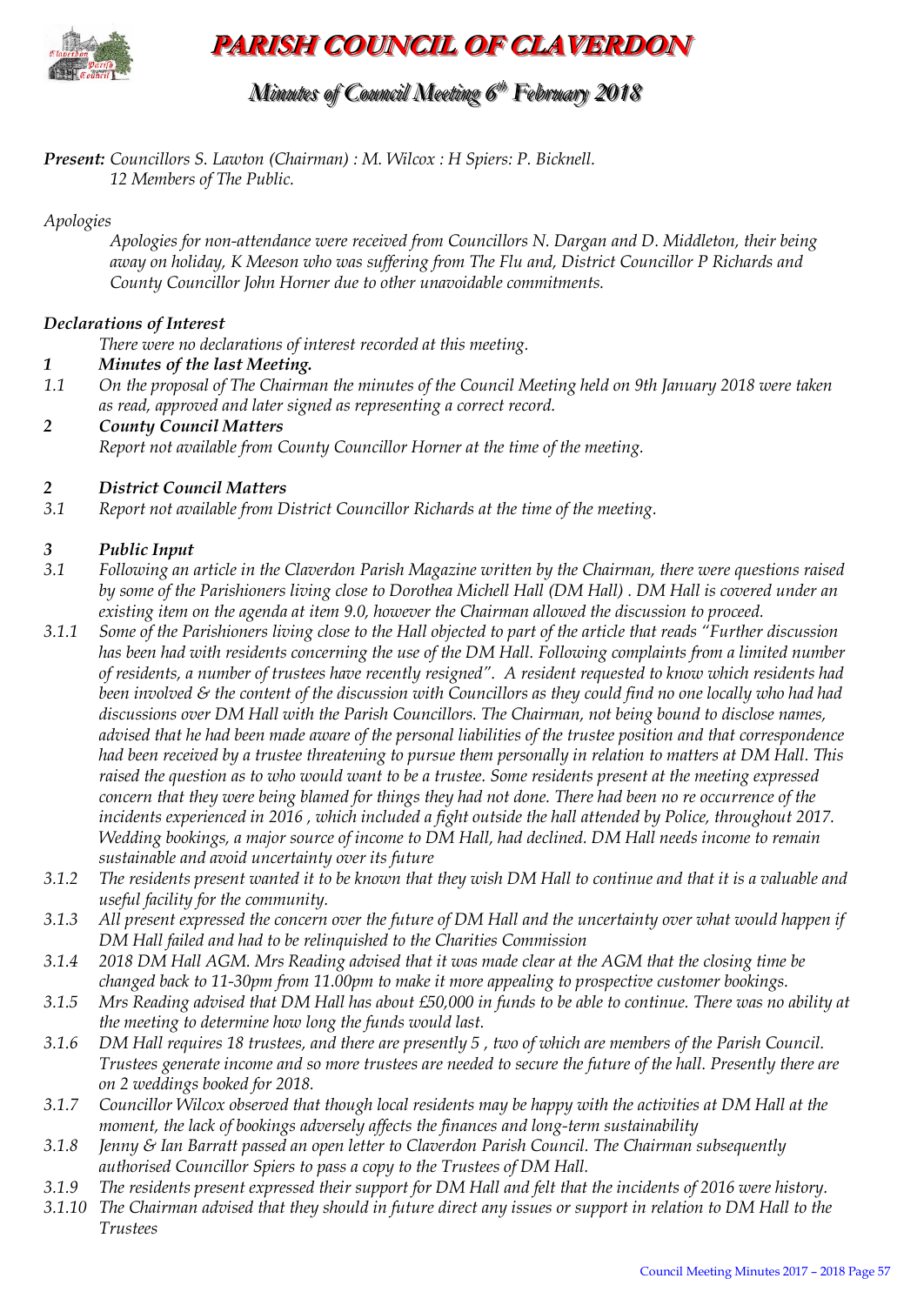

**PARISH COUNCIL OF CLAVERDON**

## *Minutes of Council Meeting 6 t thh February 2018*

*Present: Councillors S. Lawton (Chairman) : M. Wilcox : H Spiers: P. Bicknell. 12 Members of The Public.*

## *Apologies*

*Apologies for non-attendance were received from Councillors N. Dargan and D. Middleton, their being away on holiday, K Meeson who was suffering from The Flu and, District Councillor P Richards and County Councillor John Horner due to other unavoidable commitments.* 

## *Declarations of Interest*

*There were no declarations of interest recorded at this meeting.*

- *1 Minutes of the last Meeting.*
- *1.1 On the proposal of The Chairman the minutes of the Council Meeting held on 9th January 2018 were taken as read, approved and later signed as representing a correct record.*
- *2 County Council Matters Report not available from County Councillor Horner at the time of the meeting.*

## *2 District Council Matters*

*3.1 Report not available from District Councillor Richards at the time of the meeting.* 

## *3 Public Input*

- *3.1 Following an article in the Claverdon Parish Magazine written by the Chairman, there were questions raised by some of the Parishioners living close to Dorothea Michell Hall (DM Hall) . DM Hall is covered under an existing item on the agenda at item 9.0, however the Chairman allowed the discussion to proceed.*
- *3.1.1 Some of the Parishioners living close to the Hall objected to part of the article that reads "Further discussion has been had with residents concerning the use of the DM Hall. Following complaints from a limited number of residents, a number of trustees have recently resigned". A resident requested to know which residents had been involved & the content of the discussion with Councillors as they could find no one locally who had had discussions over DM Hall with the Parish Councillors. The Chairman, not being bound to disclose names, advised that he had been made aware of the personal liabilities of the trustee position and that correspondence had been received by a trustee threatening to pursue them personally in relation to matters at DM Hall. This raised the question as to who would want to be a trustee. Some residents present at the meeting expressed concern that they were being blamed for things they had not done. There had been no re occurrence of the*  incidents experienced in 2016, which included a fight outside the hall attended by Police, throughout 2017. *Wedding bookings, a major source of income to DM Hall, had declined. DM Hall needs income to remain sustainable and avoid uncertainty over its future*
- *3.1.2 The residents present wanted it to be known that they wish DM Hall to continue and that it is a valuable and useful facility for the community.*
- *3.1.3 All present expressed the concern over the future of DM Hall and the uncertainty over what would happen if DM Hall failed and had to be relinquished to the Charities Commission*
- *3.1.4 2018 DM Hall AGM. Mrs Reading advised that it was made clear at the AGM that the closing time be changed back to 11-30pm from 11.00pm to make it more appealing to prospective customer bookings.*
- *3.1.5 Mrs Reading advised that DM Hall has about £50,000 in funds to be able to continue. There was no ability at the meeting to determine how long the funds would last.*
- *3.1.6 DM Hall requires 18 trustees, and there are presently 5 , two of which are members of the Parish Council. Trustees generate income and so more trustees are needed to secure the future of the hall. Presently there are on 2 weddings booked for 2018.*
- *3.1.7 Councillor Wilcox observed that though local residents may be happy with the activities at DM Hall at the moment, the lack of bookings adversely affects the finances and long-term sustainability*
- *3.1.8 Jenny & Ian Barratt passed an open letter to Claverdon Parish Council. The Chairman subsequently authorised Councillor Spiers to pass a copy to the Trustees of DM Hall.*
- *3.1.9 The residents present expressed their support for DM Hall and felt that the incidents of 2016 were history.*
- *3.1.10 The Chairman advised that they should in future direct any issues or support in relation to DM Hall to the Trustees*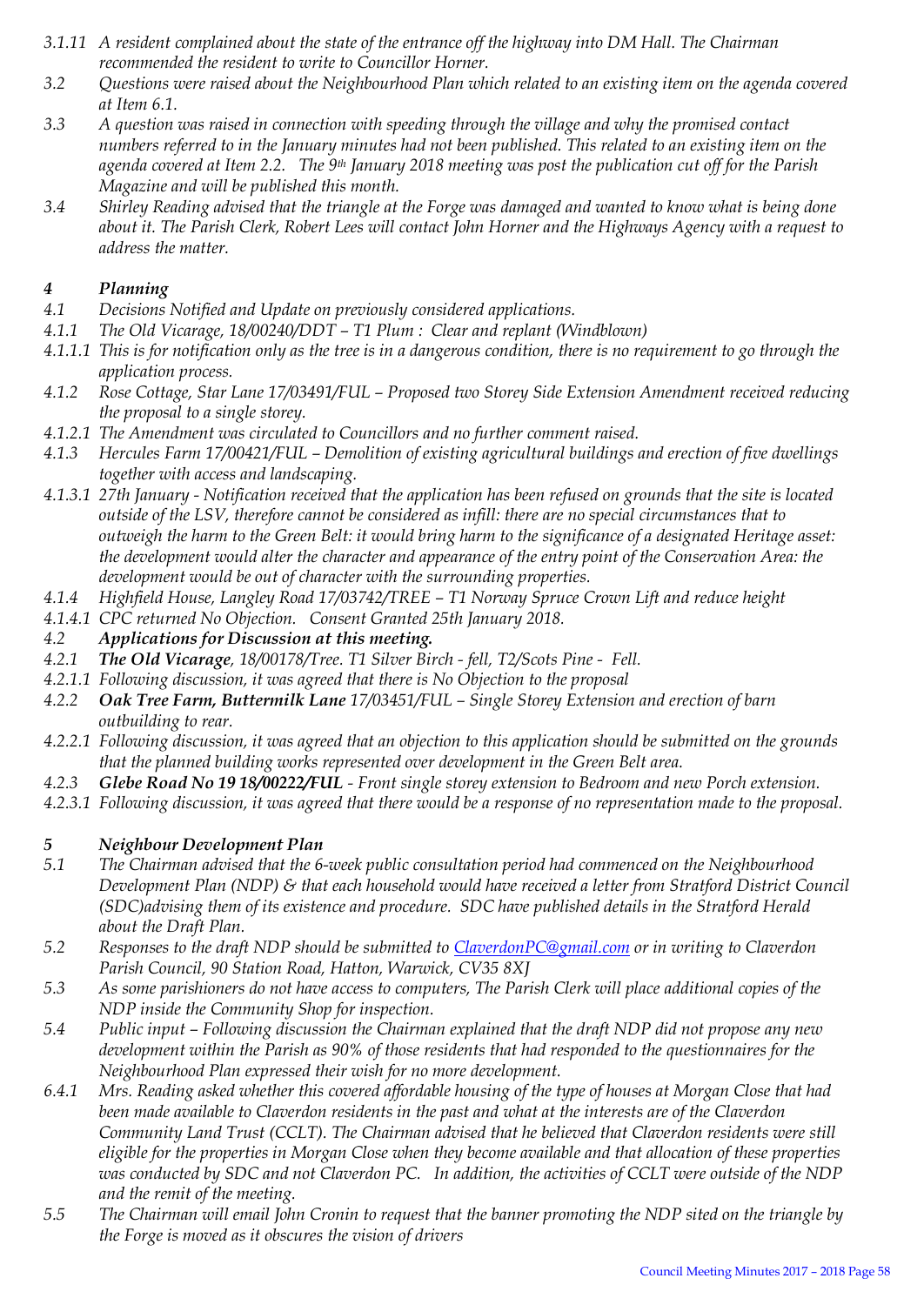- *3.1.11 A resident complained about the state of the entrance off the highway into DM Hall. The Chairman recommended the resident to write to Councillor Horner.*
- *3.2 Questions were raised about the Neighbourhood Plan which related to an existing item on the agenda covered at Item 6.1.*
- *3.3 A question was raised in connection with speeding through the village and why the promised contact numbers referred to in the January minutes had not been published. This related to an existing item on the agenda covered at Item 2.2. The 9th January 2018 meeting was post the publication cut off for the Parish Magazine and will be published this month.*
- *3.4 Shirley Reading advised that the triangle at the Forge was damaged and wanted to know what is being done about it. The Parish Clerk, Robert Lees will contact John Horner and the Highways Agency with a request to address the matter.*

## *4 Planning*

- *4.1 Decisions Notified and Update on previously considered applications.*
- *4.1.1 The Old Vicarage, 18/00240/DDT – T1 Plum : Clear and replant (Windblown)*
- *4.1.1.1 This is for notification only as the tree is in a dangerous condition, there is no requirement to go through the application process.*
- *4.1.2 Rose Cottage, Star Lane 17/03491/FUL – Proposed two Storey Side Extension Amendment received reducing the proposal to a single storey.*
- *4.1.2.1 The Amendment was circulated to Councillors and no further comment raised.*
- *4.1.3 Hercules Farm 17/00421/FUL – Demolition of existing agricultural buildings and erection of five dwellings together with access and landscaping.*
- *4.1.3.1 27th January - Notification received that the application has been refused on grounds that the site is located outside of the LSV, therefore cannot be considered as infill: there are no special circumstances that to outweigh the harm to the Green Belt: it would bring harm to the significance of a designated Heritage asset: the development would alter the character and appearance of the entry point of the Conservation Area: the development would be out of character with the surrounding properties.*
- *4.1.4 Highfield House, Langley Road 17/03742/TREE – T1 Norway Spruce Crown Lift and reduce height*
- *4.1.4.1 CPC returned No Objection. Consent Granted 25th January 2018.*
- *4.2 Applications for Discussion at this meeting.*
- *4.2.1 The Old Vicarage, 18/00178/Tree. T1 Silver Birch - fell, T2/Scots Pine Fell.*
- *4.2.1.1 Following discussion, it was agreed that there is No Objection to the proposal*
- *4.2.2 Oak Tree Farm, Buttermilk Lane 17/03451/FUL – Single Storey Extension and erection of barn outbuilding to rear.*
- *4.2.2.1 Following discussion, it was agreed that an objection to this application should be submitted on the grounds that the planned building works represented over development in the Green Belt area.*
- *4.2.3 Glebe Road No 19 18/00222/FUL - Front single storey extension to Bedroom and new Porch extension.*
- *4.2.3.1 Following discussion, it was agreed that there would be a response of no representation made to the proposal.*

# *5 Neighbour Development Plan*

- *5.1 The Chairman advised that the 6-week public consultation period had commenced on the Neighbourhood Development Plan (NDP) & that each household would have received a letter from Stratford District Council (SDC)advising them of its existence and procedure. SDC have published details in the Stratford Herald about the Draft Plan.*
- *5.2 Responses to the draft NDP should be submitted to [ClaverdonPC@gmail.com](mailto:ClaverdonPC@gmail.com) or in writing to Claverdon Parish Council, 90 Station Road, Hatton, Warwick, CV35 8XJ*
- *5.3 As some parishioners do not have access to computers, The Parish Clerk will place additional copies of the NDP inside the Community Shop for inspection.*
- *5.4 Public input – Following discussion the Chairman explained that the draft NDP did not propose any new development within the Parish as 90% of those residents that had responded to the questionnaires for the Neighbourhood Plan expressed their wish for no more development.*
- *6.4.1 Mrs. Reading asked whether this covered affordable housing of the type of houses at Morgan Close that had been made available to Claverdon residents in the past and what at the interests are of the Claverdon Community Land Trust (CCLT). The Chairman advised that he believed that Claverdon residents were still eligible for the properties in Morgan Close when they become available and that allocation of these properties was conducted by SDC and not Claverdon PC. In addition, the activities of CCLT were outside of the NDP and the remit of the meeting.*
- *5.5 The Chairman will email John Cronin to request that the banner promoting the NDP sited on the triangle by the Forge is moved as it obscures the vision of drivers*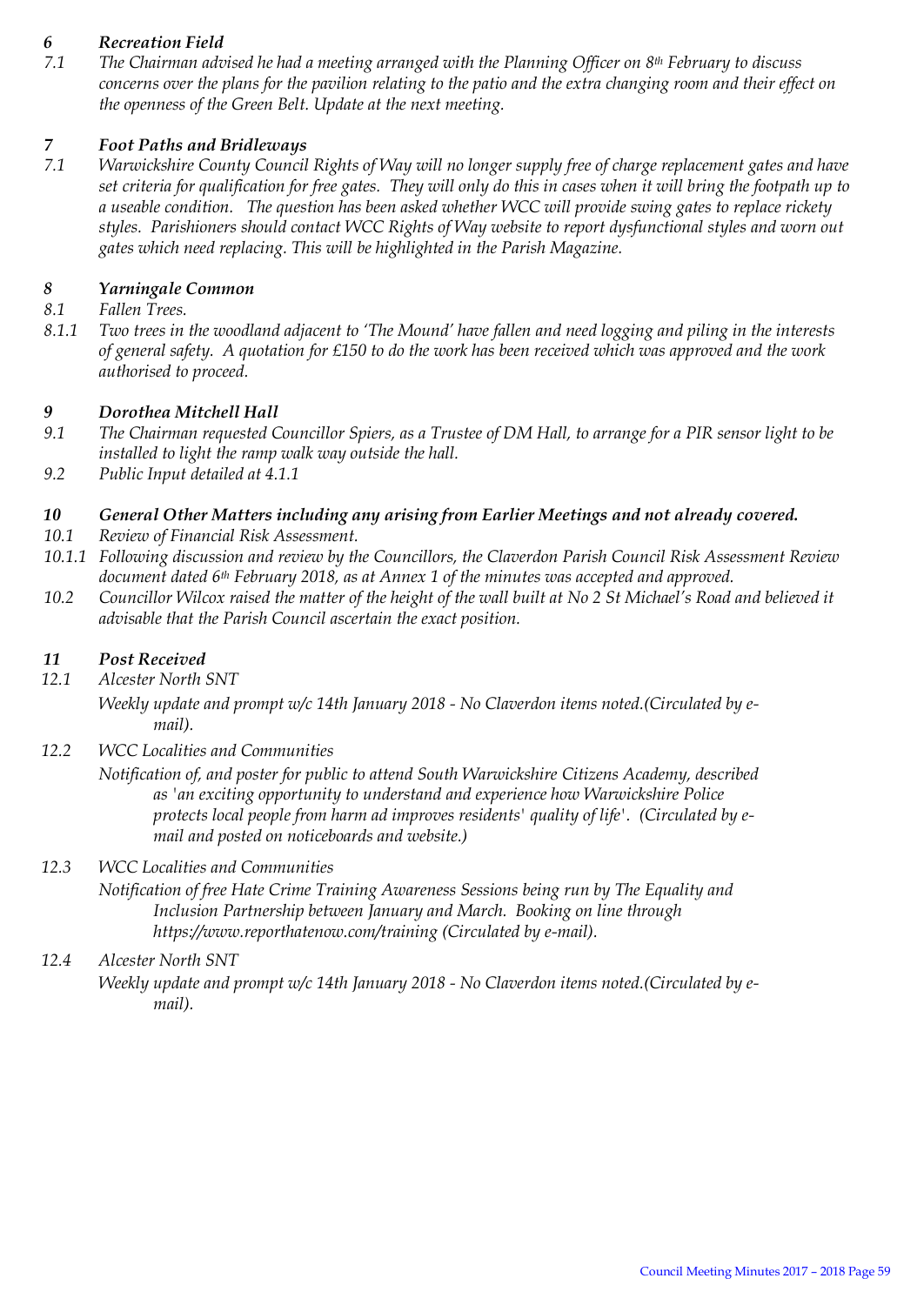## *6 Recreation Field*

*7.1 The Chairman advised he had a meeting arranged with the Planning Officer on 8th February to discuss concerns over the plans for the pavilion relating to the patio and the extra changing room and their effect on the openness of the Green Belt. Update at the next meeting.* 

## *7 Foot Paths and Bridleways*

*7.1 Warwickshire County Council Rights of Way will no longer supply free of charge replacement gates and have set criteria for qualification for free gates. They will only do this in cases when it will bring the footpath up to a useable condition. The question has been asked whether WCC will provide swing gates to replace rickety styles. Parishioners should contact WCC Rights of Way website to report dysfunctional styles and worn out gates which need replacing. This will be highlighted in the Parish Magazine.* 

## *8 Yarningale Common*

- *8.1 Fallen Trees.*
- *8.1.1 Two trees in the woodland adjacent to 'The Mound' have fallen and need logging and piling in the interests of general safety. A quotation for £150 to do the work has been received which was approved and the work authorised to proceed.*

#### *9 Dorothea Mitchell Hall*

- *9.1 The Chairman requested Councillor Spiers, as a Trustee of DM Hall, to arrange for a PIR sensor light to be installed to light the ramp walk way outside the hall.*
- *9.2 Public Input detailed at 4.1.1*

## *10 General Other Matters including any arising from Earlier Meetings and not already covered.*

- *10.1 Review of Financial Risk Assessment.*
- *10.1.1 Following discussion and review by the Councillors, the Claverdon Parish Council Risk Assessment Review document dated 6th February 2018, as at Annex 1 of the minutes was accepted and approved.*
- *10.2 Councillor Wilcox raised the matter of the height of the wall built at No 2 St Michael's Road and believed it advisable that the Parish Council ascertain the exact position.*

#### *11 Post Received*

- *12.1 Alcester North SNT*
	- *Weekly update and prompt w/c 14th January 2018 - No Claverdon items noted.(Circulated by email).*
- *12.2 WCC Localities and Communities*

*Notification of, and poster for public to attend South Warwickshire Citizens Academy, described as 'an exciting opportunity to understand and experience how Warwickshire Police protects local people from harm ad improves residents' quality of life'. (Circulated by email and posted on noticeboards and website.)* 

#### *12.3 WCC Localities and Communities*

*Notification of free Hate Crime Training Awareness Sessions being run by The Equality and Inclusion Partnership between January and March. Booking on line through https://www.reporthatenow.com/training (Circulated by e-mail).* 

## *12.4 Alcester North SNT*

*Weekly update and prompt w/c 14th January 2018 - No Claverdon items noted.(Circulated by email).*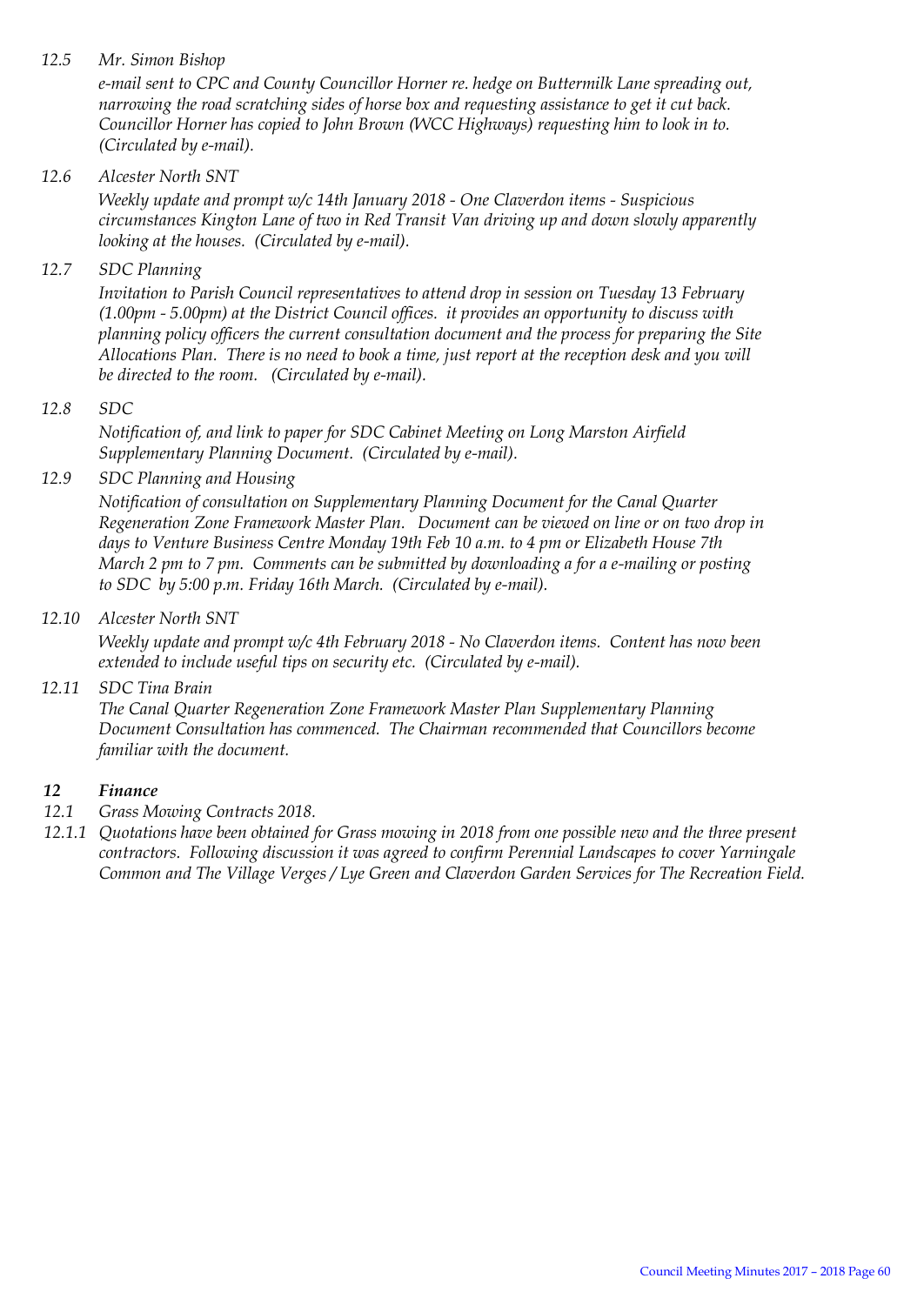## *12.5 Mr. Simon Bishop*

*e-mail sent to CPC and County Councillor Horner re. hedge on Buttermilk Lane spreading out, narrowing the road scratching sides of horse box and requesting assistance to get it cut back. Councillor Horner has copied to John Brown (WCC Highways) requesting him to look in to. (Circulated by e-mail).*

## *12.6 Alcester North SNT*

*Weekly update and prompt w/c 14th January 2018 - One Claverdon items - Suspicious circumstances Kington Lane of two in Red Transit Van driving up and down slowly apparently looking at the houses. (Circulated by e-mail).*

*12.7 SDC Planning*

*Invitation to Parish Council representatives to attend drop in session on Tuesday 13 February (1.00pm - 5.00pm) at the District Council offices. it provides an opportunity to discuss with planning policy officers the current consultation document and the process for preparing the Site Allocations Plan. There is no need to book a time, just report at the reception desk and you will be directed to the room. (Circulated by e-mail).* 

#### *12.8 SDC*

*Notification of, and link to paper for SDC Cabinet Meeting on Long Marston Airfield Supplementary Planning Document. (Circulated by e-mail).* 

## *12.9 SDC Planning and Housing*

*Notification of consultation on Supplementary Planning Document for the Canal Quarter Regeneration Zone Framework Master Plan. Document can be viewed on line or on two drop in days to Venture Business Centre Monday 19th Feb 10 a.m. to 4 pm or Elizabeth House 7th March 2 pm to 7 pm. Comments can be submitted by downloading a for a e-mailing or posting to SDC by 5:00 p.m. Friday 16th March. (Circulated by e-mail).* 

#### *12.10 Alcester North SNT*

*Weekly update and prompt w/c 4th February 2018 - No Claverdon items. Content has now been extended to include useful tips on security etc. (Circulated by e-mail).*

## *12.11 SDC Tina Brain*

*The Canal Quarter Regeneration Zone Framework Master Plan Supplementary Planning Document Consultation has commenced. The Chairman recommended that Councillors become familiar with the document.* 

## *12 Finance*

- *12.1 Grass Mowing Contracts 2018.*
- *12.1.1 Quotations have been obtained for Grass mowing in 2018 from one possible new and the three present contractors. Following discussion it was agreed to confirm Perennial Landscapes to cover Yarningale Common and The Village Verges / Lye Green and Claverdon Garden Services for The Recreation Field.*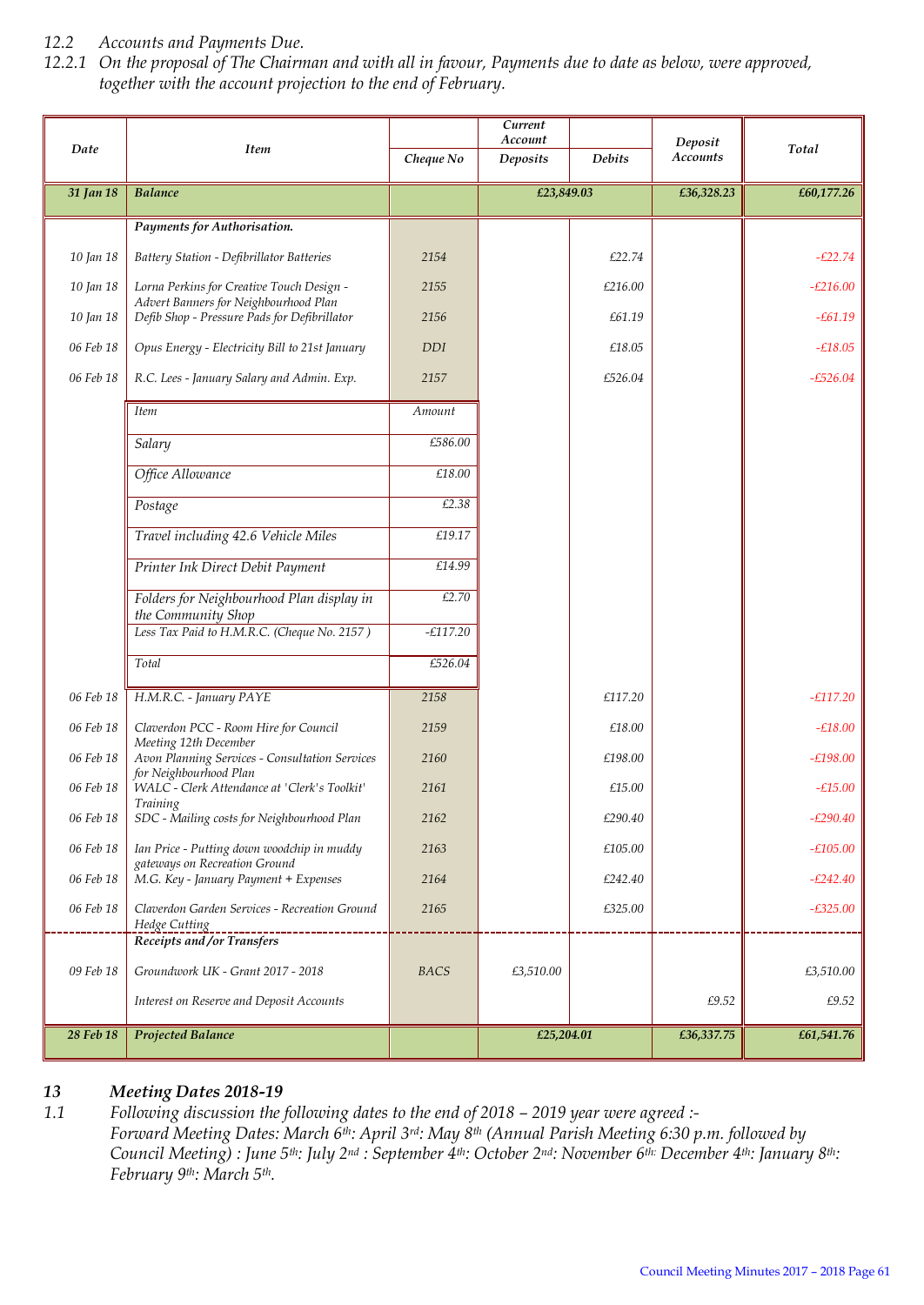## *12.2 Accounts and Payments Due.*

*12.2.1 On the proposal of The Chairman and with all in favour, Payments due to date as below, were approved, together with the account projection to the end of February.*

| Date      | <b>Item</b>                                                                           | Cheque No   | Current<br>Account<br><b>Deposits</b> | <b>Debits</b> | Deposit<br>Accounts | Total      |
|-----------|---------------------------------------------------------------------------------------|-------------|---------------------------------------|---------------|---------------------|------------|
| 31 Jan 18 | <b>Balance</b>                                                                        |             | £23,849.03                            |               | £36,328.23          | £60,177.26 |
|           | Payments for Authorisation.                                                           |             |                                       |               |                     |            |
| 10 Jan 18 | Battery Station - Defibrillator Batteries                                             | 2154        |                                       | £22.74        |                     | $-E22.74$  |
| 10 Jan 18 | Lorna Perkins for Creative Touch Design -                                             | 2155        |                                       | £216.00       |                     | $-E216.00$ |
| 10 Jan 18 | Advert Banners for Neighbourhood Plan<br>Defib Shop - Pressure Pads for Defibrillator | 2156        |                                       | £61.19        |                     | $-£61.19$  |
| 06 Feb 18 | Opus Energy - Electricity Bill to 21st January                                        | <b>DDI</b>  |                                       | £18.05        |                     | $-£18.05$  |
| 06 Feb 18 | R.C. Lees - January Salary and Admin. Exp.                                            | 2157        |                                       | £526.04       |                     | $-£526.04$ |
|           | <b>Item</b>                                                                           | Amount      |                                       |               |                     |            |
|           | Salary                                                                                | £586.00     |                                       |               |                     |            |
|           | Office Allowance                                                                      | £18.00      |                                       |               |                     |            |
|           | Postage                                                                               | £2.38       |                                       |               |                     |            |
|           | Travel including 42.6 Vehicle Miles                                                   | £19.17      |                                       |               |                     |            |
|           | Printer Ink Direct Debit Payment                                                      | £14.99      |                                       |               |                     |            |
|           | Folders for Neighbourhood Plan display in<br>the Community Shop                       | £2.70       |                                       |               |                     |            |
|           | Less Tax Paid to H.M.R.C. (Cheque No. 2157)                                           | $-E117.20$  |                                       |               |                     |            |
|           | Total                                                                                 | £526.04     |                                       |               |                     |            |
| 06 Feb 18 | H.M.R.C. - January PAYE                                                               | 2158        |                                       | £117.20       |                     | $-E117.20$ |
| 06 Feb 18 | Claverdon PCC - Room Hire for Council<br>Meeting 12th December                        | 2159        |                                       | £18.00        |                     | $-£18.00$  |
| 06 Feb 18 | Avon Planning Services - Consultation Services<br>for Neighbourhood Plan              | 2160        |                                       | £198.00       |                     | $-£198.00$ |
| 06 Feb 18 | WALC - Clerk Attendance at 'Clerk's Toolkit'<br><b>Training</b>                       | 2161        |                                       | £15.00        |                     | $-£15.00$  |
| 06 Feb 18 | SDC - Mailing costs for Neighbourhood Plan                                            | 2162        |                                       | £290.40       |                     | $-£290.40$ |
| 06 Feb 18 | Ian Price - Putting down woodchip in muddy<br>gateways on Recreation Ground           | 2163        |                                       | £105.00       |                     | $-£105.00$ |
| 06 Feb 18 | M.G. Key - January Payment + Expenses                                                 | 2164        |                                       | £242.40       |                     | $-E242.40$ |
| 06 Feb 18 | Claverdon Garden Services - Recreation Ground<br>Hedge Cutting                        | 2165        |                                       | £325.00       |                     | $-£325.00$ |
|           | <b>Receipts and /or Transfers</b>                                                     |             |                                       |               |                     |            |
| 09 Feb 18 | Groundwork UK - Grant 2017 - 2018                                                     | <b>BACS</b> | £3,510.00                             |               |                     | £3,510.00  |
|           | Interest on Reserve and Deposit Accounts                                              |             |                                       |               | £9.52               | £9.52      |
| 28 Feb 18 | <b>Projected Balance</b>                                                              |             | £25,204.01                            |               | £36,337.75          | £61,541.76 |

# *13 Meeting Dates 2018-19*

*1.1 Following discussion the following dates to the end of 2018 – 2019 year were agreed :- Forward Meeting Dates: March 6th: April 3rd: May 8th (Annual Parish Meeting 6:30 p.m. followed by Council Meeting) : June 5th: July 2nd : September 4th: October 2nd: November 6th: December 4th: January 8th: February 9th: March 5th.*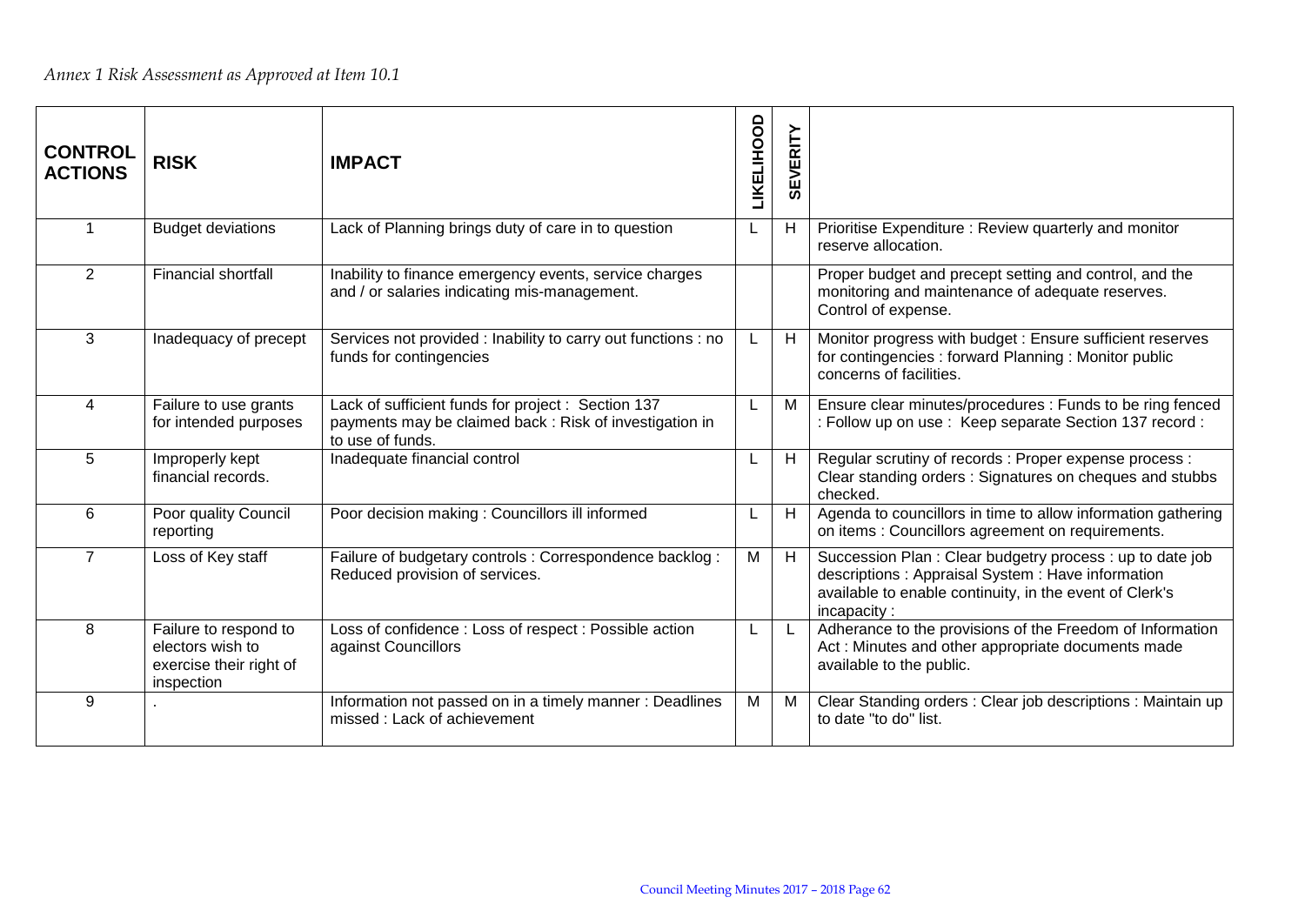| <b>CONTROL</b><br><b>ACTIONS</b> | <b>RISK</b>                                                                        | <b>IMPACT</b>                                                                                                                    | <b><i>LIKELIHOOD</i></b> | <b>SEVERITY</b> |                                                                                                                                                                                         |
|----------------------------------|------------------------------------------------------------------------------------|----------------------------------------------------------------------------------------------------------------------------------|--------------------------|-----------------|-----------------------------------------------------------------------------------------------------------------------------------------------------------------------------------------|
|                                  | <b>Budget deviations</b>                                                           | Lack of Planning brings duty of care in to question                                                                              |                          | H               | Prioritise Expenditure: Review quarterly and monitor<br>reserve allocation.                                                                                                             |
| 2                                | <b>Financial shortfall</b>                                                         | Inability to finance emergency events, service charges<br>and / or salaries indicating mis-management.                           |                          |                 | Proper budget and precept setting and control, and the<br>monitoring and maintenance of adequate reserves.<br>Control of expense.                                                       |
| 3                                | Inadequacy of precept                                                              | Services not provided : Inability to carry out functions : no<br>funds for contingencies                                         |                          | H               | Monitor progress with budget: Ensure sufficient reserves<br>for contingencies : forward Planning : Monitor public<br>concerns of facilities.                                            |
| $\overline{4}$                   | Failure to use grants<br>for intended purposes                                     | Lack of sufficient funds for project : Section 137<br>payments may be claimed back: Risk of investigation in<br>to use of funds. |                          | M               | Ensure clear minutes/procedures : Funds to be ring fenced<br>: Follow up on use : Keep separate Section 137 record :                                                                    |
| 5                                | Improperly kept<br>financial records.                                              | Inadequate financial control                                                                                                     |                          | H               | Regular scrutiny of records : Proper expense process :<br>Clear standing orders: Signatures on cheques and stubbs<br>checked.                                                           |
| 6                                | Poor quality Council<br>reporting                                                  | Poor decision making: Councillors ill informed                                                                                   |                          | H               | Agenda to councillors in time to allow information gathering<br>on items : Councillors agreement on requirements.                                                                       |
| $\overline{7}$                   | Loss of Key staff                                                                  | Failure of budgetary controls : Correspondence backlog :<br>Reduced provision of services.                                       | М                        | H               | Succession Plan: Clear budgetry process: up to date job<br>descriptions : Appraisal System : Have information<br>available to enable continuity, in the event of Clerk's<br>incapacity: |
| 8                                | Failure to respond to<br>electors wish to<br>exercise their right of<br>inspection | Loss of confidence : Loss of respect : Possible action<br>against Councillors                                                    |                          |                 | Adherance to the provisions of the Freedom of Information<br>Act: Minutes and other appropriate documents made<br>available to the public.                                              |
| 9                                |                                                                                    | Information not passed on in a timely manner: Deadlines<br>missed : Lack of achievement                                          | M                        | M               | Clear Standing orders : Clear job descriptions : Maintain up<br>to date "to do" list.                                                                                                   |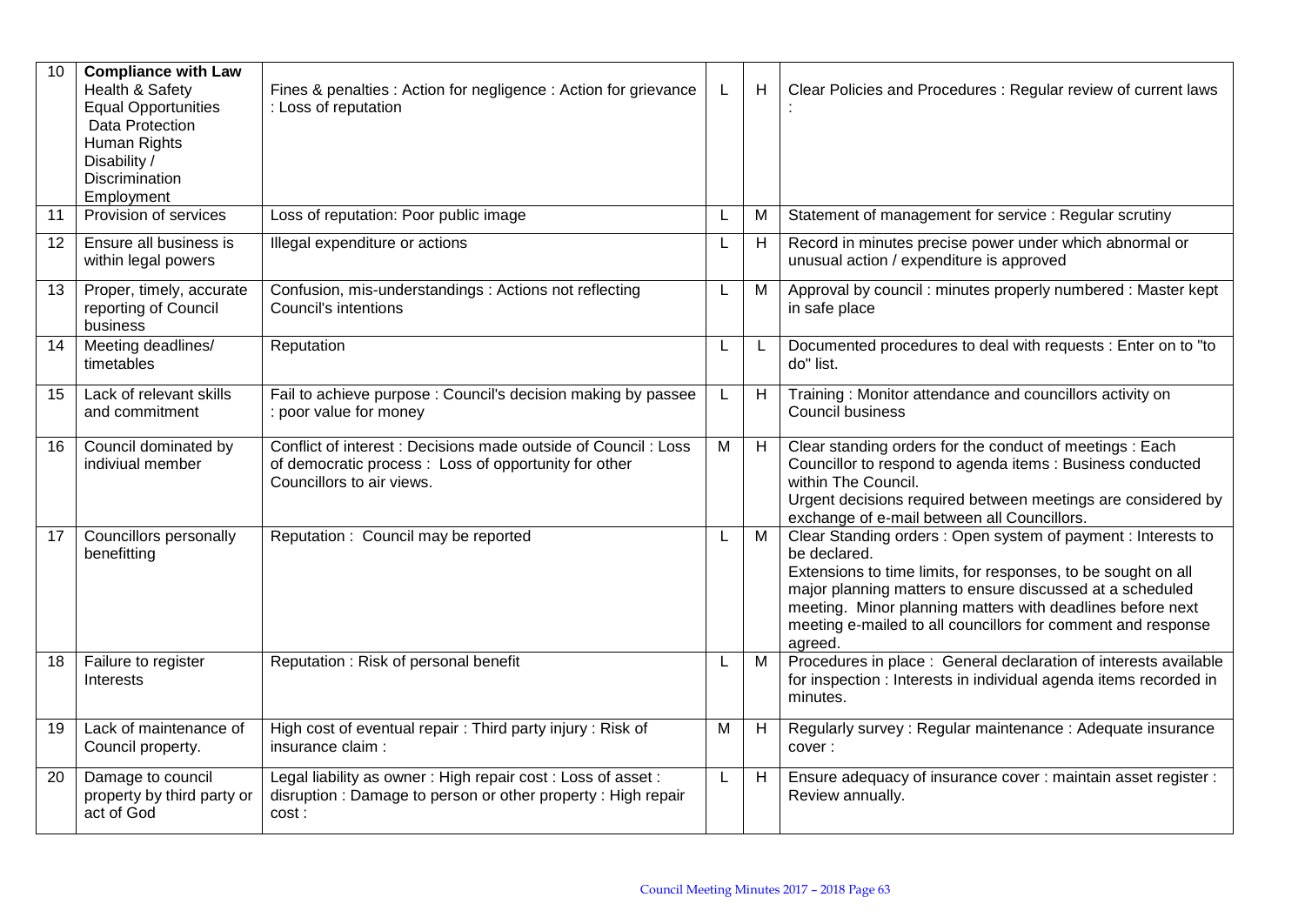| 10 | <b>Compliance with Law</b><br>Health & Safety<br><b>Equal Opportunities</b><br>Data Protection<br>Human Rights<br>Disability /<br>Discrimination<br>Employment | Fines & penalties : Action for negligence : Action for grievance<br>: Loss of reputation                                                             |    | Н | Clear Policies and Procedures : Regular review of current laws                                                                                                                                                                                                                                                                                     |
|----|----------------------------------------------------------------------------------------------------------------------------------------------------------------|------------------------------------------------------------------------------------------------------------------------------------------------------|----|---|----------------------------------------------------------------------------------------------------------------------------------------------------------------------------------------------------------------------------------------------------------------------------------------------------------------------------------------------------|
| 11 | Provision of services                                                                                                                                          | Loss of reputation: Poor public image                                                                                                                |    | M | Statement of management for service : Regular scrutiny                                                                                                                                                                                                                                                                                             |
| 12 | Ensure all business is<br>within legal powers                                                                                                                  | Illegal expenditure or actions                                                                                                                       |    | Н | Record in minutes precise power under which abnormal or<br>unusual action / expenditure is approved                                                                                                                                                                                                                                                |
| 13 | Proper, timely, accurate<br>reporting of Council<br>business                                                                                                   | Confusion, mis-understandings : Actions not reflecting<br><b>Council's intentions</b>                                                                |    | M | Approval by council: minutes properly numbered: Master kept<br>in safe place                                                                                                                                                                                                                                                                       |
| 14 | Meeting deadlines/<br>timetables                                                                                                                               | Reputation                                                                                                                                           |    | L | Documented procedures to deal with requests : Enter on to "to<br>do" list.                                                                                                                                                                                                                                                                         |
| 15 | Lack of relevant skills<br>and commitment                                                                                                                      | Fail to achieve purpose: Council's decision making by passee<br>: poor value for money                                                               | L. | Н | Training: Monitor attendance and councillors activity on<br><b>Council business</b>                                                                                                                                                                                                                                                                |
| 16 | Council dominated by<br>indiviual member                                                                                                                       | Conflict of interest : Decisions made outside of Council : Loss<br>of democratic process: Loss of opportunity for other<br>Councillors to air views. | M  | H | Clear standing orders for the conduct of meetings : Each<br>Councillor to respond to agenda items : Business conducted<br>within The Council.<br>Urgent decisions required between meetings are considered by<br>exchange of e-mail between all Councillors.                                                                                       |
| 17 | Councillors personally<br>benefitting                                                                                                                          | Reputation: Council may be reported                                                                                                                  |    | M | Clear Standing orders: Open system of payment: Interests to<br>be declared.<br>Extensions to time limits, for responses, to be sought on all<br>major planning matters to ensure discussed at a scheduled<br>meeting. Minor planning matters with deadlines before next<br>meeting e-mailed to all councillors for comment and response<br>agreed. |
| 18 | Failure to register<br>Interests                                                                                                                               | Reputation: Risk of personal benefit                                                                                                                 | L  | M | Procedures in place : General declaration of interests available<br>for inspection : Interests in individual agenda items recorded in<br>minutes.                                                                                                                                                                                                  |
| 19 | Lack of maintenance of<br>Council property.                                                                                                                    | High cost of eventual repair: Third party injury: Risk of<br>insurance claim:                                                                        | M  | H | Regularly survey: Regular maintenance: Adequate insurance<br>cover:                                                                                                                                                                                                                                                                                |
| 20 | Damage to council<br>property by third party or<br>act of God                                                                                                  | Legal liability as owner: High repair cost: Loss of asset:<br>disruption: Damage to person or other property: High repair<br>cost:                   | L  | Н | Ensure adequacy of insurance cover : maintain asset register :<br>Review annually.                                                                                                                                                                                                                                                                 |